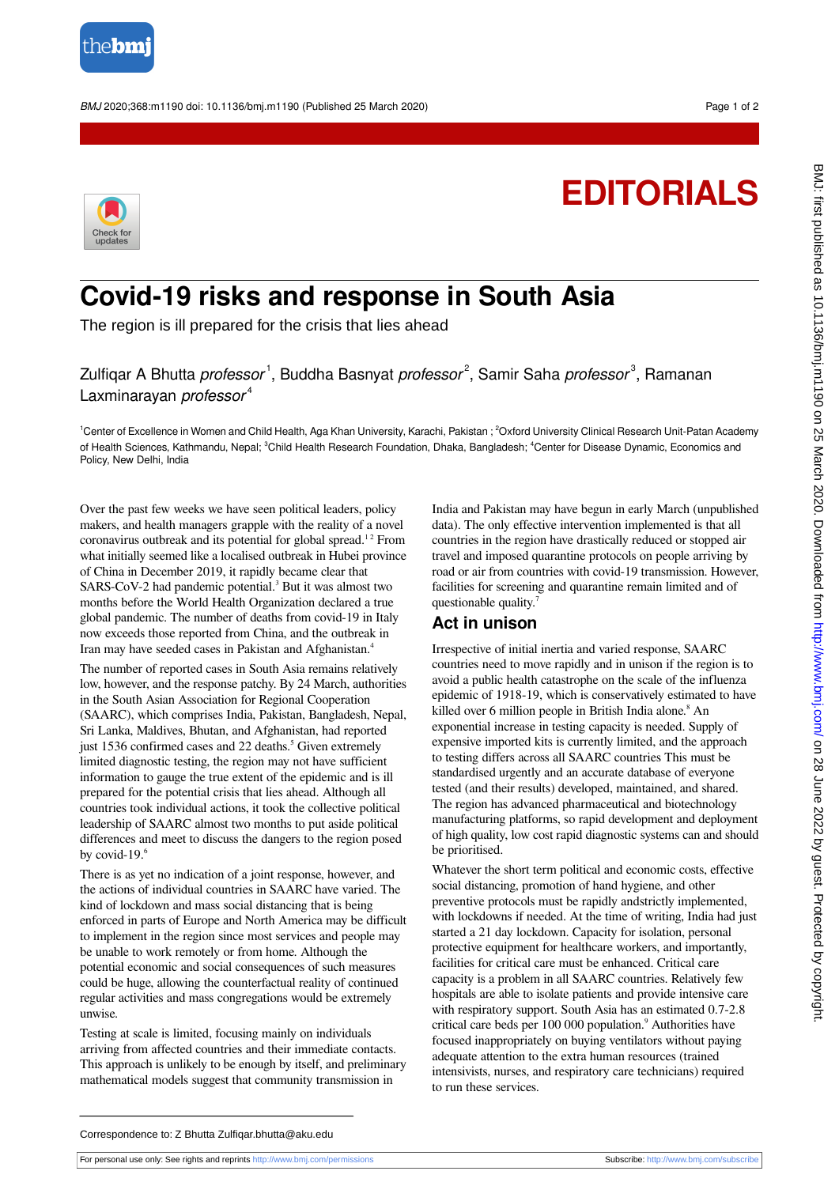

BMJ 2020;368:m1190 doi: 10.1136/bmj.m1190 (Published 25 March 2020) Page 1 of 2

## **EDITORIALS**



## **Covid-19 risks and response in South Asia**

The region is ill prepared for the crisis that lies ahead

Zulfigar A Bhutta *professor*<sup>1</sup>, Buddha Basnyat *professor*<sup>2</sup>, Samir Saha *professor*<sup>3</sup>, Ramanan Laxminarayan *professor<sup>4</sup>* 

<sup>1</sup>Center of Excellence in Women and Child Health, Aga Khan University, Karachi, Pakistan ; <sup>2</sup>Oxford University Clinical Research Unit-Patan Academy of Health Sciences, Kathmandu, Nepal; <sup>3</sup>Child Health Research Foundation, Dhaka, Bangladesh; <sup>4</sup>Center for Disease Dynamic, Economics and Policy, New Delhi, India

Over the past few weeks we have seen political leaders, policy makers, and health managers grapple with the reality of a novel coronavirus outbreak and its potential for global spread.<sup>12</sup> From what initially seemed like a localised outbreak in Hubei province of China in December 2019, it rapidly became clear that SARS-CoV-2 had pandemic potential.<sup>3</sup> But it was almost two months before the World Health Organization declared a true global pandemic. The number of deaths from covid-19 in Italy now exceeds those reported from China, and the outbreak in Iran may have seeded cases in Pakistan and Afghanistan.<sup>4</sup>

The number of reported cases in South Asia remains relatively low, however, and the response patchy. By 24 March, authorities in the South Asian Association for Regional Cooperation (SAARC), which comprises India, Pakistan, Bangladesh, Nepal, Sri Lanka, Maldives, Bhutan, and Afghanistan, had reported just 1536 confirmed cases and 22 deaths.<sup>5</sup> Given extremely limited diagnostic testing, the region may not have sufficient information to gauge the true extent of the epidemic and is ill prepared for the potential crisis that lies ahead. Although all countries took individual actions, it took the collective political leadership of SAARC almost two months to put aside political differences and meet to discuss the dangers to the region posed by covid-19.<sup>6</sup>

There is as yet no indication of a joint response, however, and the actions of individual countries in SAARC have varied. The kind of lockdown and mass social distancing that is being enforced in parts of Europe and North America may be difficult to implement in the region since most services and people may be unable to work remotely or from home. Although the potential economic and social consequences of such measures could be huge, allowing the counterfactual reality of continued regular activities and mass congregations would be extremely unwise.

Testing at scale is limited, focusing mainly on individuals arriving from affected countries and their immediate contacts. This approach is unlikely to be enough by itself, and preliminary mathematical models suggest that community transmission in

India and Pakistan may have begun in early March (unpublished data). The only effective intervention implemented is that all countries in the region have drastically reduced or stopped air travel and imposed quarantine protocols on people arriving by road or air from countries with covid-19 transmission. However, facilities for screening and quarantine remain limited and of questionable quality.<sup>7</sup>

## **Act in unison**

Irrespective of initial inertia and varied response, SAARC countries need to move rapidly and in unison if the region is to avoid a public health catastrophe on the scale of the influenza epidemic of 1918-19, which is conservatively estimated to have killed over 6 million people in British India alone.<sup>8</sup> An exponential increase in testing capacity is needed. Supply of expensive imported kits is currently limited, and the approach to testing differs across all SAARC countries This must be standardised urgently and an accurate database of everyone tested (and their results) developed, maintained, and shared. The region has advanced pharmaceutical and biotechnology manufacturing platforms, so rapid development and deployment of high quality, low cost rapid diagnostic systems can and should be prioritised.

Whatever the short term political and economic costs, effective social distancing, promotion of hand hygiene, and other preventive protocols must be rapidly andstrictly implemented, with lockdowns if needed. At the time of writing, India had just started a 21 day lockdown. Capacity for isolation, personal protective equipment for healthcare workers, and importantly, facilities for critical care must be enhanced. Critical care capacity is a problem in all SAARC countries. Relatively few hospitals are able to isolate patients and provide intensive care with respiratory support. South Asia has an estimated 0.7-2.8 critical care beds per 100 000 population.<sup>9</sup> Authorities have focused inappropriately on buying ventilators without paying adequate attention to the extra human resources (trained intensivists, nurses, and respiratory care technicians) required to run these services.